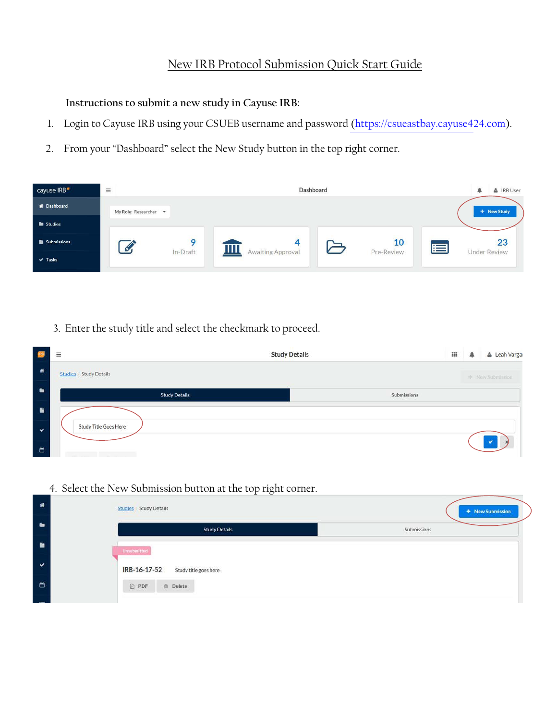## New IRB Protocol Submission Quick Start Guide

**Instructions to submit a new study in Cayuse IRB:**

- 1. Login to Cayuse IRB using your CSUEB username and password (https://csueastbay[.cayuse424.com\)](https://csueastbay.cayuse424.com/rs/irb).
- 2. From your "Dashboard" select the New Study button in the top right corner.



3. Enter the study title and select the checkmark to proceed.

|              | <b>Study Details</b><br>$\equiv$                                 | $\mathbf{H}$ | А |                  | & Leah Varga |
|--------------|------------------------------------------------------------------|--------------|---|------------------|--------------|
| 番            | <b>Studies</b> Study Details                                     |              |   | - New Submitsion |              |
| ٠            | <b>Study Details</b>                                             | Submissions  |   |                  |              |
| ٠            |                                                                  |              |   |                  |              |
| $\checkmark$ | Study Title Goes Here                                            |              |   |                  |              |
| ఆ            | the state of the state of the state of the<br>Contractor Service |              |   |                  |              |

4. Select the New Submission button at the top right corner.

| 者 | <b>Studies</b> Study Details          | + New Submission |  |  |  |
|---|---------------------------------------|------------------|--|--|--|
| ٠ | <b>Study Details</b>                  | Submissions      |  |  |  |
|   | <b>Unsubmitted</b>                    |                  |  |  |  |
| ◡ | Study title goes here<br>IRB-16-17-52 |                  |  |  |  |
| O | <b>B</b> PDF<br><b>自</b> Delete       |                  |  |  |  |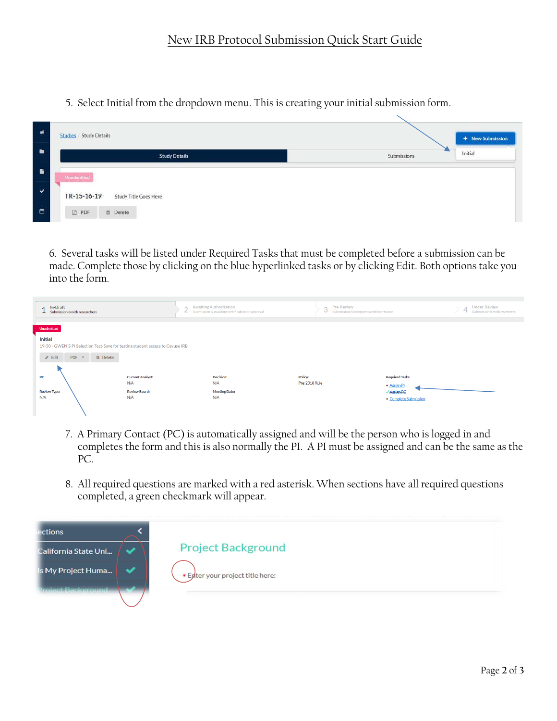5. Select Initial from the dropdown menu. This is creating your initial submission form.

| 番              | <b>Studies</b> Study Details         | + New Submission       |
|----------------|--------------------------------------|------------------------|
| $\blacksquare$ | <b>Study Details</b>                 | Initial<br>Submissions |
|                | Unsubmitted                          |                        |
|                | Study Title Goes Here<br>TR-15-16-19 |                        |
|                | <b>B</b> PDF<br><b>曲</b> Delete      |                        |

6. Several tasks will be listed under Required Tasks that must be completed before a submission can be made. Complete those by clicking on the blue hyperlinked tasks or by clicking Edit. Both options take you into the form.

| In-Draft<br>Submission is with researchers                                     | <b>Awaiting Authorization</b><br>$\sim$<br>Submission is awaiting certification or approval<br>∠ | Pre-Review<br>3<br>Submission is being prepared for review | <b>Under-Review</b><br>$\Delta$<br>ission is with reviewers |  |  |  |  |
|--------------------------------------------------------------------------------|--------------------------------------------------------------------------------------------------|------------------------------------------------------------|-------------------------------------------------------------|--|--|--|--|
|                                                                                |                                                                                                  |                                                            |                                                             |  |  |  |  |
| <b>Unsubmitted</b>                                                             |                                                                                                  |                                                            |                                                             |  |  |  |  |
|                                                                                |                                                                                                  |                                                            |                                                             |  |  |  |  |
| <b>Initial</b>                                                                 |                                                                                                  |                                                            |                                                             |  |  |  |  |
| 19-50 - GWEN'S PI Selection Test-Save for testing student access to Cayuse IRB |                                                                                                  |                                                            |                                                             |  |  |  |  |
|                                                                                |                                                                                                  |                                                            |                                                             |  |  |  |  |
| $PDF \times$<br>$\mathscr{L}$ Edit<br><b>面</b> Delete                          |                                                                                                  |                                                            |                                                             |  |  |  |  |
|                                                                                |                                                                                                  |                                                            |                                                             |  |  |  |  |
|                                                                                |                                                                                                  |                                                            |                                                             |  |  |  |  |
|                                                                                |                                                                                                  |                                                            |                                                             |  |  |  |  |
| PI:<br><b>Current Analyst:</b>                                                 | <b>Decision:</b>                                                                                 | <b>Required Tasks:</b><br>Policy:                          |                                                             |  |  |  |  |
| N/A                                                                            | N/A                                                                                              | Pre-2018 Rule<br>• Assign PI                               |                                                             |  |  |  |  |
| <b>Review Type:</b><br><b>Review Board:</b>                                    | <b>Meeting Date:</b>                                                                             | √ Assign PC                                                |                                                             |  |  |  |  |
| N/A<br>N/A                                                                     | N/A                                                                                              |                                                            |                                                             |  |  |  |  |
|                                                                                |                                                                                                  | • Complete Submission                                      |                                                             |  |  |  |  |
|                                                                                |                                                                                                  |                                                            |                                                             |  |  |  |  |
|                                                                                |                                                                                                  |                                                            |                                                             |  |  |  |  |

- 7. A Primary Contact (PC) is automatically assigned and will be the person who is logged in and completes the form and this is also normally the PI. A PI must be assigned and can be the same as the PC.
- 8. All required questions are marked with a red asterisk. When sections have all required questions completed, a green checkmark will appear.